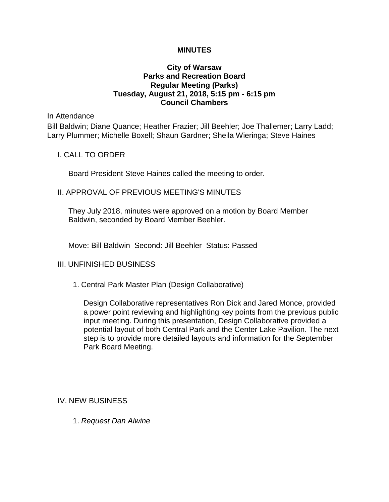#### **MINUTES**

## **City of Warsaw Parks and Recreation Board Regular Meeting (Parks) Tuesday, August 21, 2018, 5:15 pm - 6:15 pm Council Chambers**

In Attendance

Bill Baldwin; Diane Quance; Heather Frazier; Jill Beehler; Joe Thallemer; Larry Ladd; Larry Plummer; Michelle Boxell; Shaun Gardner; Sheila Wieringa; Steve Haines

#### I. CALL TO ORDER

Board President Steve Haines called the meeting to order.

## II. APPROVAL OF PREVIOUS MEETING'S MINUTES

They July 2018, minutes were approved on a motion by Board Member Baldwin, seconded by Board Member Beehler.

Move: Bill Baldwin Second: Jill Beehler Status: Passed

# III. UNFINISHED BUSINESS

1. Central Park Master Plan (Design Collaborative)

Design Collaborative representatives Ron Dick and Jared Monce, provided a power point reviewing and highlighting key points from the previous public input meeting. During this presentation, Design Collaborative provided a potential layout of both Central Park and the Center Lake Pavilion. The next step is to provide more detailed layouts and information for the September Park Board Meeting.

#### IV. NEW BUSINESS

1. *Request Dan Alwine*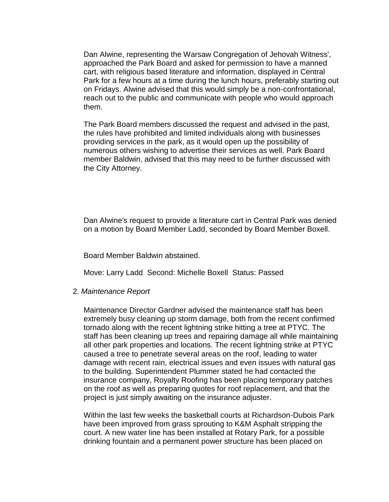Dan Alwine, representing the Warsaw Congregation of Jehovah Witness', approached the Park Board and asked for permission to have a manned cart, with religious based literature and information, displayed in Central Park for a few hours at a time during the lunch hours, preferably starting out on Fridays. Alwine advised that this would simply be a non-confrontational, reach out to the public and communicate with people who would approach them.

The Park Board members discussed the request and advised in the past, the rules have prohibited and limited individuals along with businesses providing services in the park, as it would open up the possibility of numerous others wishing to advertise their services as well. Park Board member Baldwin, advised that this may need to be further discussed with the City Attorney.

Dan Alwine's request to provide a literature cart in Central Park was denied on a motion by Board Member Ladd, seconded by Board Member Boxell.

Board Member Baldwin abstained.

Move: Larry Ladd Second: Michelle Boxell Status: Passed

#### 2. *Maintenance Report*

Maintenance Director Gardner advised the maintenance staff has been extremely busy cleaning up storm damage, both from the recent confirmed tornado along with the recent lightning strike hitting a tree at PTYC. The staff has been cleaning up trees and repairing damage all while maintaining all other park properties and locations. The recent lightning strike at PTYC caused a tree to penetrate several areas on the roof, leading to water damage with recent rain, electrical issues and even issues with natural gas to the building. Superintendent Plummer stated he had contacted the insurance company, Royalty Roofing has been placing temporary patches on the roof as well as preparing quotes for roof replacement, and that the project is just simply awaiting on the insurance adjuster.

Within the last few weeks the basketball courts at Richardson-Dubois Park have been improved from grass sprouting to K&M Asphalt stripping the court. A new water line has been installed at Rotary Park, for a possible drinking fountain and a permanent power structure has been placed on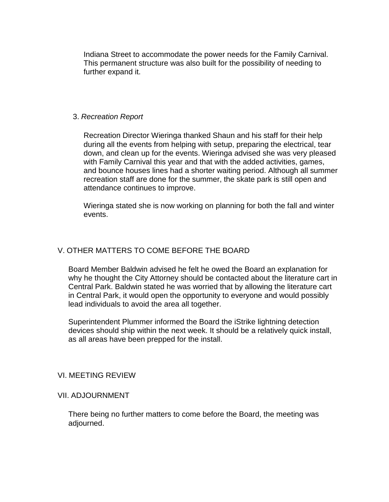Indiana Street to accommodate the power needs for the Family Carnival. This permanent structure was also built for the possibility of needing to further expand it.

# 3. *Recreation Report*

Recreation Director Wieringa thanked Shaun and his staff for their help during all the events from helping with setup, preparing the electrical, tear down, and clean up for the events. Wieringa advised she was very pleased with Family Carnival this year and that with the added activities, games, and bounce houses lines had a shorter waiting period. Although all summer recreation staff are done for the summer, the skate park is still open and attendance continues to improve.

Wieringa stated she is now working on planning for both the fall and winter events.

# V. OTHER MATTERS TO COME BEFORE THE BOARD

Board Member Baldwin advised he felt he owed the Board an explanation for why he thought the City Attorney should be contacted about the literature cart in Central Park. Baldwin stated he was worried that by allowing the literature cart in Central Park, it would open the opportunity to everyone and would possibly lead individuals to avoid the area all together.

Superintendent Plummer informed the Board the iStrike lightning detection devices should ship within the next week. It should be a relatively quick install, as all areas have been prepped for the install.

#### VI. MEETING REVIEW

#### VII. ADJOURNMENT

There being no further matters to come before the Board, the meeting was adjourned.